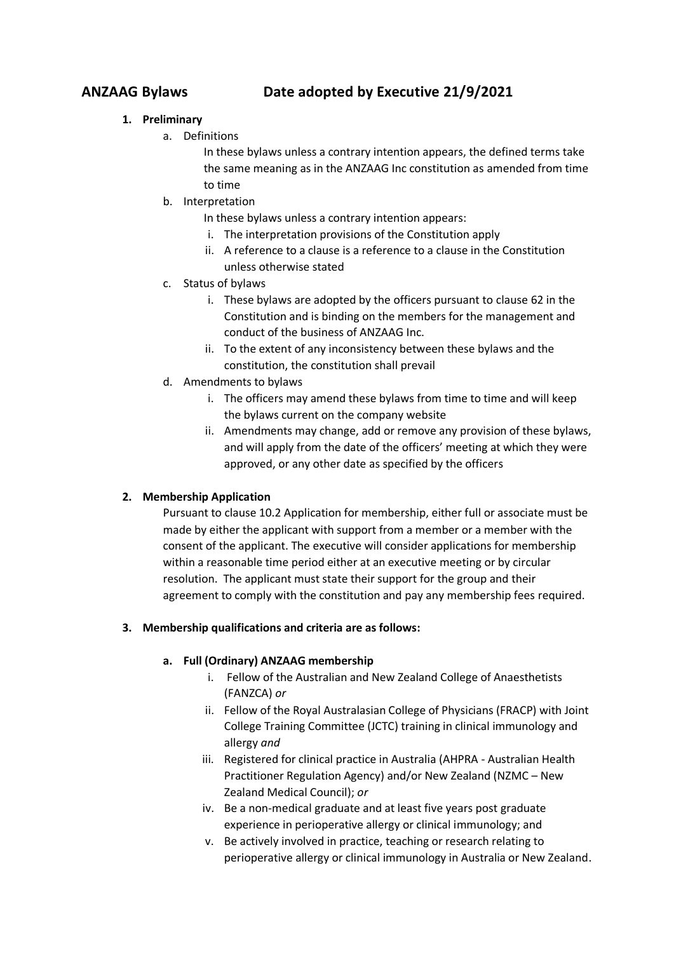# **ANZAAG Bylaws Date adopted by Executive 21/9/2021**

# **1. Preliminary**

a. Definitions

In these bylaws unless a contrary intention appears, the defined terms take the same meaning as in the ANZAAG Inc constitution as amended from time to time

- b. Interpretation
	- In these bylaws unless a contrary intention appears:
	- i. The interpretation provisions of the Constitution apply
	- ii. A reference to a clause is a reference to a clause in the Constitution unless otherwise stated
- c. Status of bylaws
	- i. These bylaws are adopted by the officers pursuant to clause 62 in the Constitution and is binding on the members for the management and conduct of the business of ANZAAG Inc.
	- ii. To the extent of any inconsistency between these bylaws and the constitution, the constitution shall prevail
- d. Amendments to bylaws
	- i. The officers may amend these bylaws from time to time and will keep the bylaws current on the company website
	- ii. Amendments may change, add or remove any provision of these bylaws, and will apply from the date of the officers' meeting at which they were approved, or any other date as specified by the officers

# **2. Membership Application**

Pursuant to clause 10.2 Application for membership, either full or associate must be made by either the applicant with support from a member or a member with the consent of the applicant. The executive will consider applications for membership within a reasonable time period either at an executive meeting or by circular resolution. The applicant must state their support for the group and their agreement to comply with the constitution and pay any membership fees required.

# **3. Membership qualifications and criteria are as follows:**

# **a. Full (Ordinary) ANZAAG membership**

- i. Fellow of the Australian and New Zealand College of Anaesthetists (FANZCA) *or*
- ii. Fellow of the Royal Australasian College of Physicians (FRACP) with Joint College Training Committee (JCTC) training in clinical immunology and allergy *and*
- iii. Registered for clinical practice in Australia (AHPRA Australian Health Practitioner Regulation Agency) and/or New Zealand (NZMC – New Zealand Medical Council); *or*
- iv. Be a non-medical graduate and at least five years post graduate experience in perioperative allergy or clinical immunology; and
- v. Be actively involved in practice, teaching or research relating to perioperative allergy or clinical immunology in Australia or New Zealand.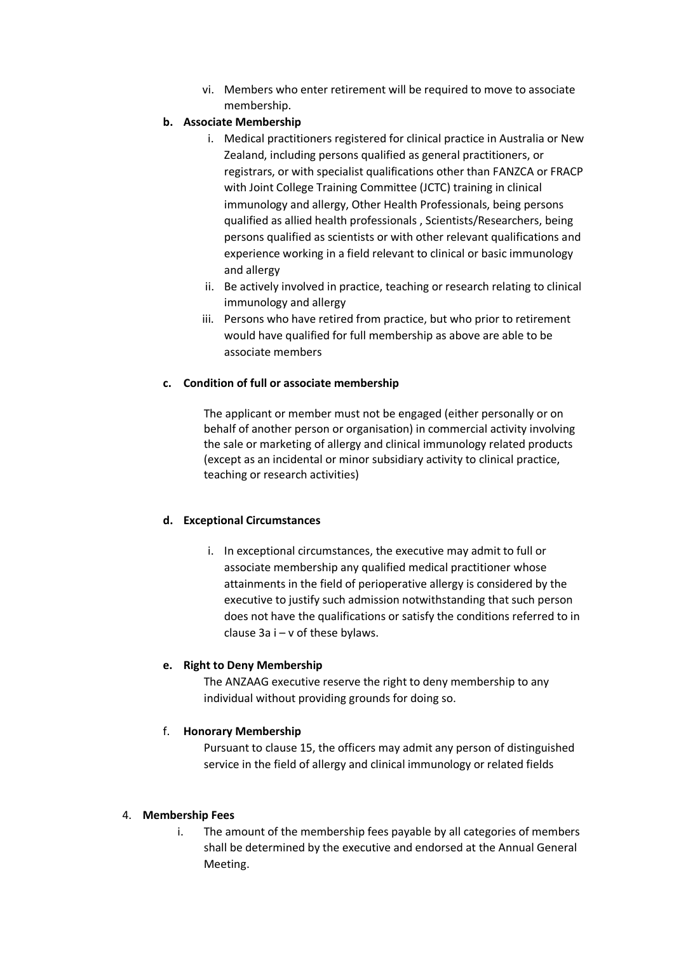vi. Members who enter retirement will be required to move to associate membership.

# **b. Associate Membership**

- i. Medical practitioners registered for clinical practice in Australia or New Zealand, including persons qualified as general practitioners, or registrars, or with specialist qualifications other than FANZCA or FRACP with Joint College Training Committee (JCTC) training in clinical immunology and allergy, Other Health Professionals, being persons qualified as allied health professionals , Scientists/Researchers, being persons qualified as scientists or with other relevant qualifications and experience working in a field relevant to clinical or basic immunology and allergy
- ii. Be actively involved in practice, teaching or research relating to clinical immunology and allergy
- iii. Persons who have retired from practice, but who prior to retirement would have qualified for full membership as above are able to be associate members

# **c. Condition of full or associate membership**

The applicant or member must not be engaged (either personally or on behalf of another person or organisation) in commercial activity involving the sale or marketing of allergy and clinical immunology related products (except as an incidental or minor subsidiary activity to clinical practice, teaching or research activities)

### **d. Exceptional Circumstances**

i. In exceptional circumstances, the executive may admit to full or associate membership any qualified medical practitioner whose attainments in the field of perioperative allergy is considered by the executive to justify such admission notwithstanding that such person does not have the qualifications or satisfy the conditions referred to in clause 3a i – v of these bylaws.

### **e. Right to Deny Membership**

The ANZAAG executive reserve the right to deny membership to any individual without providing grounds for doing so.

### f. **Honorary Membership**

Pursuant to clause 15, the officers may admit any person of distinguished service in the field of allergy and clinical immunology or related fields

### 4. **Membership Fees**

i. The amount of the membership fees payable by all categories of members shall be determined by the executive and endorsed at the Annual General Meeting.